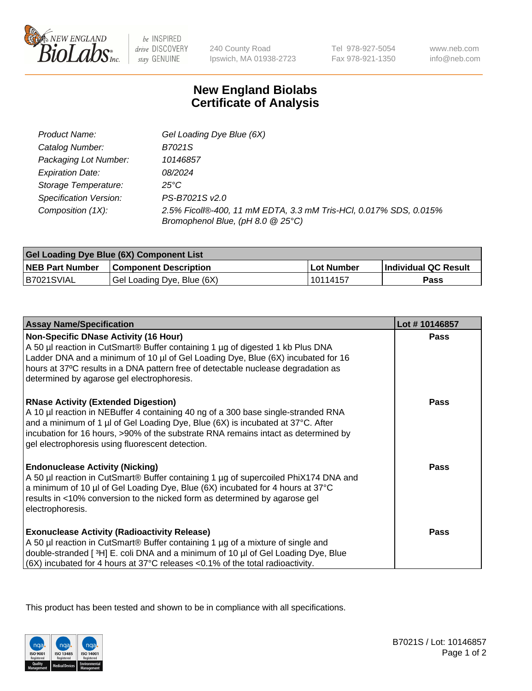

 $be$  INSPIRED drive DISCOVERY stay GENUINE

240 County Road Ipswich, MA 01938-2723 Tel 978-927-5054 Fax 978-921-1350 www.neb.com info@neb.com

## **New England Biolabs Certificate of Analysis**

| Product Name:                 | Gel Loading Dye Blue (6X)                                                                              |
|-------------------------------|--------------------------------------------------------------------------------------------------------|
| Catalog Number:               | B7021S                                                                                                 |
| Packaging Lot Number:         | 10146857                                                                                               |
| <b>Expiration Date:</b>       | 08/2024                                                                                                |
| Storage Temperature:          | $25^{\circ}$ C                                                                                         |
| <b>Specification Version:</b> | PS-B7021S v2.0                                                                                         |
| Composition (1X):             | 2.5% Ficoll®-400, 11 mM EDTA, 3.3 mM Tris-HCl, 0.017% SDS, 0.015%<br>Bromophenol Blue, (pH 8.0 @ 25°C) |

| Gel Loading Dye Blue (6X) Component List |                              |            |                      |  |
|------------------------------------------|------------------------------|------------|----------------------|--|
| <b>NEB Part Number</b>                   | <b>Component Description</b> | Lot Number | Individual QC Result |  |
| B7021SVIAL                               | Gel Loading Dye, Blue (6X)   | 10114157   | Pass                 |  |

| <b>Assay Name/Specification</b>                                                                                                                                                                                                                                                                                                                              | Lot #10146857 |
|--------------------------------------------------------------------------------------------------------------------------------------------------------------------------------------------------------------------------------------------------------------------------------------------------------------------------------------------------------------|---------------|
| <b>Non-Specific DNase Activity (16 Hour)</b><br>A 50 µl reaction in CutSmart® Buffer containing 1 µg of digested 1 kb Plus DNA<br>Ladder DNA and a minimum of 10 µl of Gel Loading Dye, Blue (6X) incubated for 16<br>hours at 37°C results in a DNA pattern free of detectable nuclease degradation as<br>determined by agarose gel electrophoresis.        | <b>Pass</b>   |
| <b>RNase Activity (Extended Digestion)</b><br>A 10 µl reaction in NEBuffer 4 containing 40 ng of a 300 base single-stranded RNA<br>and a minimum of 1 µl of Gel Loading Dye, Blue (6X) is incubated at 37°C. After<br>incubation for 16 hours, >90% of the substrate RNA remains intact as determined by<br>gel electrophoresis using fluorescent detection. | <b>Pass</b>   |
| <b>Endonuclease Activity (Nicking)</b><br>A 50 µl reaction in CutSmart® Buffer containing 1 µg of supercoiled PhiX174 DNA and<br>a minimum of 10 µl of Gel Loading Dye, Blue (6X) incubated for 4 hours at 37°C<br>results in <10% conversion to the nicked form as determined by agarose gel<br>electrophoresis.                                            | <b>Pass</b>   |
| <b>Exonuclease Activity (Radioactivity Release)</b><br>A 50 µl reaction in CutSmart® Buffer containing 1 µg of a mixture of single and<br>double-stranded [3H] E. coli DNA and a minimum of 10 µl of Gel Loading Dye, Blue<br>$ (6X)$ incubated for 4 hours at 37°C releases <0.1% of the total radioactivity.                                               | <b>Pass</b>   |

This product has been tested and shown to be in compliance with all specifications.